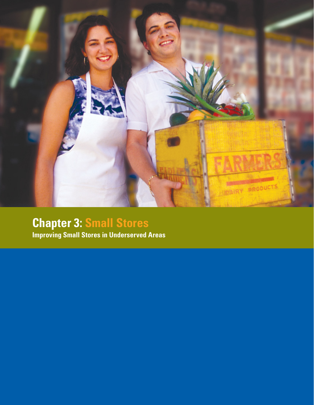

# **Chapter 3: Small Stores**

**Improving Small Stores in Underserved Areas**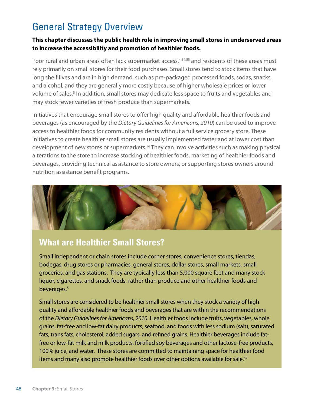## General Strategy Overview

#### **This chapter discusses the public health role in improving small stores in underserved areas to increase the accessibility and promotion of healthier foods.**

Poor rural and urban areas often lack supermarket access,<sup>4,54,55</sup> and residents of these areas must rely primarily on small stores for their food purchases. Small stores tend to stock items that have long shelf lives and are in high demand, such as pre-packaged processed foods, sodas, snacks, and alcohol, and they are generally more costly because of higher wholesale prices or lower volume of sales.<sup>5</sup> In addition, small stores may dedicate less space to fruits and vegetables and may stock fewer varieties of fresh produce than supermarkets.

Initiatives that encourage small stores to offer high quality and affordable healthier foods and beverages (as encouraged by the *Dietary Guidelines for Americans, 2010*) can be used to improve access to healthier foods for community residents without a full service grocery store. These initiatives to create healthier small stores are usually implemented faster and at lower cost than development of new stores or supermarkets.<sup>56</sup> They can involve activities such as making physical alterations to the store to increase stocking of healthier foods, marketing of healthier foods and beverages, providing technical assistance to store owners, or supporting stores owners around nutrition assistance benefit programs.



### **What are Healthier Small Stores?**

Small independent or chain stores include corner stores, convenience stores, tiendas, bodegas, drug stores or pharmacies, general stores, dollar stores, small markets, small groceries, and gas stations. They are typically less than 5,000 square feet and many stock liquor, cigarettes, and snack foods, rather than produce and other healthier foods and beverages.5

Small stores are considered to be healthier small stores when they stock a variety of high quality and affordable healthier foods and beverages that are within the recommendations of the *Dietary Guidelines for Americans, 2010*. Healthier foods include fruits, vegetables, whole grains, fat-free and low-fat dairy products, seafood, and foods with less sodium (salt), saturated fats, trans fats, cholesterol, added sugars, and refined grains. Healthier beverages include fatfree or low-fat milk and milk products, fortified soy beverages and other lactose-free products, 100% juice, and water. These stores are committed to maintaining space for healthier food items and many also promote healthier foods over other options available for sale.<sup>57</sup>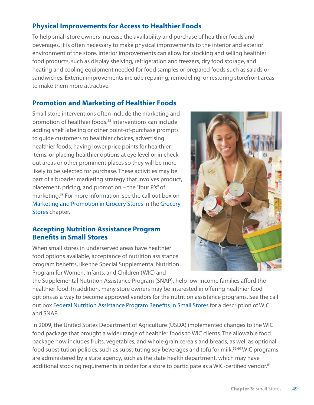#### **Physical Improvements for Access to Healthier Foods**

To help small store owners increase the availability and purchase of healthier foods and beverages, it is often necessary to make physical improvements to the interior and exterior environment of the store. Interior improvements can allow for stocking and selling healthier food products, such as display shelving, refrigeration and freezers, dry food storage, and heating and cooling equipment needed for food samples or prepared foods such as salads or sandwiches. Exterior improvements include repairing, remodeling, or restoring storefront areas to make them more attractive.

#### **Promotion and Marketing of Healthier Foods**

Small store interventions often include the marketing and promotion of healthier foods.58 Interventions can include adding shelf labeling or other point-of-purchase prompts to guide customers to healthier choices, advertising healthier foods, having lower price points for healthier items, or placing healthier options at eye level or in check out areas or other prominent places so they will be more likely to be selected for purchase. These activities may be part of a broader marketing strategy that involves product, placement, pricing, and promotion – the "four P's" of marketing.39 For more information, see the call out box on Marketing and Promotion in Grocery Stores in the Grocery Stores chapter.

#### **Accepting Nutrition Assistance Program Benefits in Small Stores**

When small stores in underserved areas have healthier food options available, acceptance of nutrition assistance program benefits, like the Special Supplemental Nutrition Program for Women, Infants, and Children (WIC) and

the Supplemental Nutrition Assistance Program (SNAP), help low-income families afford the healthier food. In addition, many store owners may be interested in offering healthier food options as a way to become approved vendors for the nutrition assistance programs. See the call out box Federal Nutrition Assistance Program Benefits in Small Stores for a description of WIC and SNAP.

In 2009, the United States Department of Agriculture (USDA) implemented changes to the WIC food package that brought a wider range of healthier foods to WIC clients. The allowable food package now includes fruits, vegetables, and whole grain cereals and breads, as well as optional food substitution policies, such as substituting soy beverages and tofu for milk.<sup>59,60</sup> WIC programs are administered by a state agency, such as the state health department, which may have additional stocking requirements in order for a store to participate as a WIC-certified vendor.<sup>61</sup>

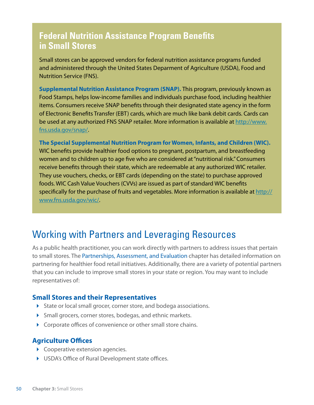### **Federal Nutrition Assistance Program Benefits in Small Stores**

Small stores can be approved vendors for federal nutrition assistance programs funded and administered through the United States Deparment of Agriculture (USDA), Food and Nutrition Service (FNS).

**Supplemental Nutrition Assistance Program (SNAP).** This program, previously known as Food Stamps, helps low-income families and individuals purchase food, including healthier items. Consumers receive SNAP benefits through their designated state agency in the form of Electronic Benefits Transfer (EBT) cards, which are much like bank debit cards. Cards can be used at any authorized FNS SNAP retailer. More information is available at [http://www.](http://www.fns.usda.gov/snap) [fns.usda.gov/snap](http://www.fns.usda.gov/snap)/.

**The Special Supplemental Nutrition Program for Women, Infants, and Children (WIC).**  WIC benefits provide healthier food options to pregnant, postpartum, and breastfeeding women and to children up to age five who are considered at "nutritional risk." Consumers receive benefits through their state, which are redeemable at any authorized WIC retailer. They use vouchers, checks, or EBT cards (depending on the state) to purchase approved foods. WIC Cash Value Vouchers (CVVs) are issued as part of standard WIC benefits specifically for the purchase of fruits and vegetables. More information is available at [http://](http://www.fns.usda.gov/wic) [www.fns.usda.gov/wic](http://www.fns.usda.gov/wic)/.

### Working with Partners and Leveraging Resources

As a public health practitioner, you can work directly with partners to address issues that pertain to small stores. The Partnerships, Assessment, and Evaluation chapter has detailed information on partnering for healthier food retail initiatives. Additionally, there are a variety of potential partners that you can include to improve small stores in your state or region. You may want to include representatives of:

#### **Small Stores and their Representatives**

- State or local small grocer, corner store, and bodega associations.
- Small grocers, corner stores, bodegas, and ethnic markets.
- **Corporate offices of convenience or other small store chains.**

#### **Agriculture Offices**

- Cooperative extension agencies.
- USDA's Office of Rural Development state offices.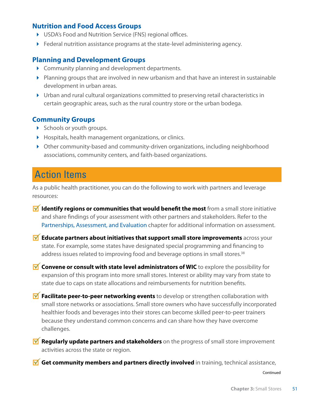#### **Nutrition and Food Access Groups**

- USDA's Food and Nutrition Service (FNS) regional offices.
- Federal nutrition assistance programs at the state-level administering agency.

#### **Planning and Development Groups**

- Community planning and development departments.
- Planning groups that are involved in new urbanism and that have an interest in sustainable development in urban areas.
- Urban and rural cultural organizations committed to preserving retail characteristics in certain geographic areas, such as the rural country store or the urban bodega.

#### **Community Groups**

- $\triangleright$  Schools or youth groups.
- Hospitals, health management organizations, or clinics.
- Other community-based and community-driven organizations, including neighborhood associations, community centers, and faith-based organizations.

### Action Items

As a public health practitioner, you can do the following to work with partners and leverage resources:

- **If Identify regions or communities that would benefit the most** from a small store initiative and share findings of your assessment with other partners and stakeholders. Refer to the Partnerships, Assessment, and Evaluation chapter for additional information on assessment.
- **M** Educate partners about initiatives that support small store improvements across your state. For example, some states have designated special programming and financing to address issues related to improving food and beverage options in small stores.<sup>38</sup>

**M** Convene or consult with state level administrators of WIC to explore the possibility for expansion of this program into more small stores. Interest or ability may vary from state to state due to caps on state allocations and reimbursements for nutrition benefits.

- **Facilitate peer-to-peer networking events** to develop or strengthen collaboration with small store networks or associations. Small store owners who have successfully incorporated healthier foods and beverages into their stores can become skilled peer-to-peer trainers because they understand common concerns and can share how they have overcome challenges.
- **M** Regularly update partners and stakeholders on the progress of small store improvement activities across the state or region.
- **M** Get community members and partners directly involved in training, technical assistance,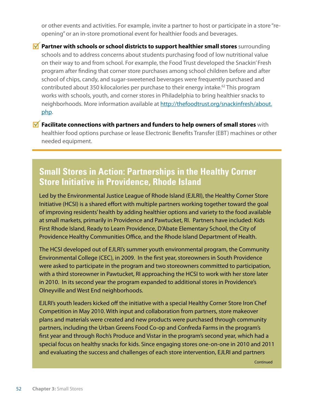or other events and activities. For example, invite a partner to host or participate in a store "reopening" or an in-store promotional event for healthier foods and beverages.

**Partner with schools or school districts to support healthier small stores** surrounding schools and to address concerns about students purchasing food of low nutritional value on their way to and from school. For example, the Food Trust developed the Snackin' Fresh program after finding that corner store purchases among school children before and after school of chips, candy, and sugar-sweetened beverages were frequently purchased and contributed about 350 kilocalories per purchase to their energy intake.<sup>62</sup> This program works with schools, youth, and corner stores in Philadelphia to bring healthier snacks to neighborhoods. More information available at [http://thefoodtrust.org/snackinfresh/about.](http://thefoodtrust.org/snackinfresh/about.php) [php](http://thefoodtrust.org/snackinfresh/about.php).

**M** Facilitate connections with partners and funders to help owners of small stores with healthier food options purchase or lease Electronic Benefits Transfer (EBT) machines or other needed equipment.

### **Small Stores in Action: Partnerships in the Healthy Corner Store Initiative in Providence, Rhode Island**

Led by the Environmental Justice League of Rhode Island (EJLRI), the Healthy Corner Store Initiative (HCSI) is a shared effort with multiple partners working together toward the goal of improving residents' health by adding healthier options and variety to the food available at small markets, primarily in Providence and Pawtucket, RI. Partners have included: Kids First Rhode Island, Ready to Learn Providence, D'Abate Elementary School, the City of Providence Healthy Communities Office, and the Rhode Island Department of Health.

The HCSI developed out of EJLRI's summer youth environmental program, the Community Environmental College (CEC), in 2009. In the first year, storeowners in South Providence were asked to participate in the program and two storeowners committed to participation, with a third storeowner in Pawtucket, RI approaching the HCSI to work with her store later in 2010. In its second year the program expanded to additional stores in Providence's Olneyville and West End neighborhoods.

EJLRI's youth leaders kicked off the initiative with a special Healthy Corner Store Iron Chef Competition in May 2010. With input and collaboration from partners, store makeover plans and materials were created and new products were purchased through community partners, including the Urban Greens Food Co-op and Confreda Farms in the program's first year and through Roch's Produce and Vistar in the program's second year, which had a special focus on healthy snacks for kids. Since engaging stores one-on-one in 2010 and 2011 and evaluating the success and challenges of each store intervention, EJLRI and partners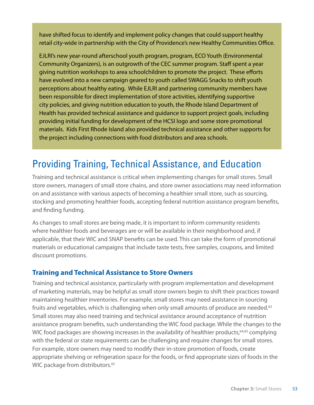have shifted focus to identify and implement policy changes that could support healthy retail city-wide in partnership with the City of Providence's new Healthy Communities Office.

EJLRI's new year-round afterschool youth program, program, ECO Youth (Environmental Community Organizers), is an outgrowth of the CEC summer program. Staff spent a year giving nutrition workshops to area schoolchildren to promote the project. These efforts have evolved into a new campaign geared to youth called SWAGG Snacks to shift youth perceptions about healthy eating. While EJLRI and partnering community members have been responsible for direct implementation of store activities, identifying supportive city policies, and giving nutrition education to youth, the Rhode Island Department of Health has provided technical assistance and guidance to support project goals, including providing initial funding for development of the HCSI logo and some store promotional materials. Kids First Rhode Island also provided technical assistance and other supports for the project including connections with food distributors and area schools.

## Providing Training, Technical Assistance, and Education

Training and technical assistance is critical when implementing changes for small stores. Small store owners, managers of small store chains, and store owner associations may need information on and assistance with various aspects of becoming a healthier small store, such as sourcing, stocking and promoting healthier foods, accepting federal nutrition assistance program benefits, and finding funding.

As changes to small stores are being made, it is important to inform community residents where healthier foods and beverages are or will be available in their neighborhood and, if applicable, that their WIC and SNAP benefits can be used. This can take the form of promotional materials or educational campaigns that include taste tests, free samples, coupons, and limited discount promotions.

#### **Training and Technical Assistance to Store Owners**

Training and technical assistance, particularly with program implementation and development of marketing materials, may be helpful as small store owners begin to shift their practices toward maintaining healthier inventories. For example, small stores may need assistance in sourcing fruits and vegetables, which is challenging when only small amounts of produce are needed.<sup>63</sup> Small stores may also need training and technical assistance around acceptance of nutrition assistance program benefits, such understanding the WIC food package. While the changes to the WIC food packages are showing increases in the availability of healthier products,  $64,65$  complying with the federal or state requirements can be challenging and require changes for small stores. For example, store owners may need to modify their in-store promotion of foods, create appropriate shelving or refrigeration space for the foods, or find appropriate sizes of foods in the WIC package from distributors.<sup>65</sup>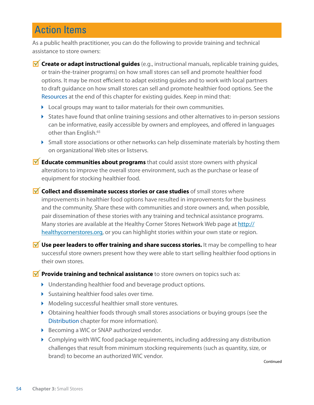## **Action Items**

As a public health practitioner, you can do the following to provide training and technical assistance to store owners:

- *M* Create or adapt instructional guides (e.g., instructional manuals, replicable training guides, or train-the-trainer programs) on how small stores can sell and promote healthier food options. It may be most efficient to adapt existing guides and to work with local partners to draft guidance on how small stores can sell and promote healthier food options. See the Resources at the end of this chapter for existing guides. Keep in mind that:
	- ▶ Local groups may want to tailor materials for their own communities.
	- $\triangleright$  States have found that online training sessions and other alternatives to in-person sessions can be informative, easily accessible by owners and employees, and offered in languages other than English.<sup>65</sup>
	- Small store associations or other networks can help disseminate materials by hosting them on organizational Web sites or listservs.
- **M** Educate communities about programs that could assist store owners with physical alterations to improve the overall store environment, such as the purchase or lease of equipment for stocking healthier food.
- **M** Collect and disseminate success stories or case studies of small stores where improvements in healthier food options have resulted in improvements for the business and the community. Share these with communities and store owners and, when possible, pair dissemination of these stories with any training and technical assistance programs. Many stories are available at the Healthy Corner Stores Network Web page at [http://](http://healthycornerstores.org) [healthycornerstores.org,](http://healthycornerstores.org) or you can highlight stories within your own state or region.
- **M** Use peer leaders to offer training and share success stories. It may be compelling to hear successful store owners present how they were able to start selling healthier food options in their own stores.

**Provide training and technical assistance** to store owners on topics such as:

- Understanding healthier food and beverage product options.
- Sustaining healthier food sales over time.
- Modeling successful healthier small store ventures.
- Obtaining healthier foods through small stores associations or buying groups (see the Distribution chapter for more information).
- ▶ Becoming a WIC or SNAP authorized vendor.
- Complying with WIC food package requirements, including addressing any distribution challenges that result from minimum stocking requirements (such as quantity, size, or brand) to become an authorized WIC vendor.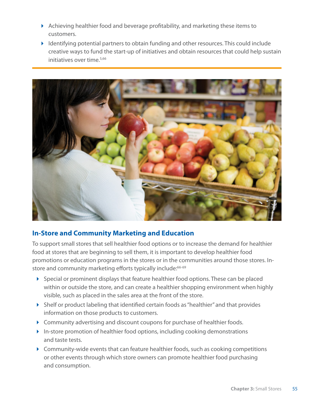- $\blacktriangleright$  Achieving healthier food and beverage profitability, and marketing these items to customers.
- Identifying potential partners to obtain funding and other resources. This could include creative ways to fund the start-up of initiatives and obtain resources that could help sustain initiatives over time.<sup>5,66</sup>



#### **In-Store and Community Marketing and Education**

To support small stores that sell healthier food options or to increase the demand for healthier food at stores that are beginning to sell them, it is important to develop healthier food promotions or education programs in the stores or in the communities around those stores. Instore and community marketing efforts typically include:<sup>66-69</sup>

- $\triangleright$  Special or prominent displays that feature healthier food options. These can be placed within or outside the store, and can create a healthier shopping environment when highly visible, such as placed in the sales area at the front of the store.
- Shelf or product labeling that identified certain foods as "healthier" and that provides information on those products to customers.
- Community advertising and discount coupons for purchase of healthier foods.
- In-store promotion of healthier food options, including cooking demonstrations and taste tests.
- $\triangleright$  Community-wide events that can feature healthier foods, such as cooking competitions or other events through which store owners can promote healthier food purchasing and consumption.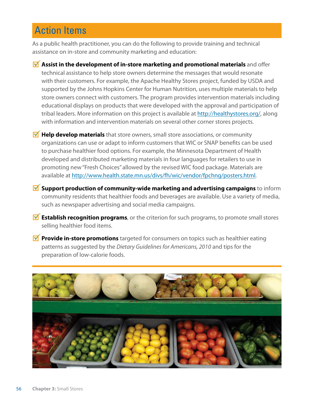## Action Items

As a public health practitioner, you can do the following to provide training and technical assistance on in-store and community marketing and education:

- **M** Assist in the development of in-store marketing and promotional materials and offer technical assistance to help store owners determine the messages that would resonate with their customers. For example, the Apache Healthy Stores project, funded by USDA and supported by the Johns Hopkins Center for Human Nutrition, uses multiple materials to help store owners connect with customers. The program provides intervention materials including educational displays on products that were developed with the approval and participation of tribal leaders. More information on this project is available at [http://healthystores.org/](http://healthystores.org), along with information and intervention materials on several other corner stores projects.
- **Help develop materials** that store owners, small store associations, or community organizations can use or adapt to inform customers that WIC or SNAP benefits can be used to purchase healthier food options. For example, the Minnesota Department of Health developed and distributed marketing materials in four languages for retailers to use in promoting new "Fresh Choices" allowed by the revised WIC food package. Materials are available at<http://www.health.state.mn.us/divs/fh/wic/vendor/fpchng/posters.html>.
- **Support production of community-wide marketing and advertising campaigns** to inform community residents that healthier foods and beverages are available. Use a variety of media, such as newspaper advertising and social media campaigns.
- **M** Establish recognition programs, or the criterion for such programs, to promote small stores selling healthier food items.
- **Provide in-store promotions** targeted for consumers on topics such as healthier eating patterns as suggested by the *Dietary Guidelines for Americans, 2010* and tips for the preparation of low-calorie foods.

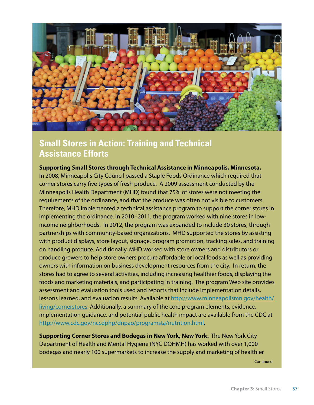

### **Small Stores in Action: Training and Technical Assistance Efforts**

**Supporting Small Stores through Technical Assistance in Minneapolis, Minnesota.** In 2008, Minneapolis City Council passed a Staple Foods Ordinance which required that corner stores carry five types of fresh produce. A 2009 assessment conducted by the Minneapolis Health Department (MHD) found that 75% of stores were not meeting the requirements of the ordinance, and that the produce was often not visible to customers. Therefore, MHD implemented a technical assistance program to support the corner stores in implementing the ordinance. In 2010–2011, the program worked with nine stores in lowincome neighborhoods. In 2012, the program was expanded to include 30 stores, through partnerships with community-based organizations. MHD supported the stores by assisting with product displays, store layout, signage, program promotion, tracking sales, and training on handling produce. Additionally, MHD worked with store owners and distributors or produce growers to help store owners procure affordable or local foods as well as providing owners with information on business development resources from the city. In return, the stores had to agree to several activities, including increasing healthier foods, displaying the foods and marketing materials, and participating in training. The program Web site provides assessment and evaluation tools used and reports that include implementation details, lessons learned, and evaluation results. Available at [http://www.minneapolismn.gov/health/](http://www.minneapolismn.gov/health/living/cornerstores) [living/cornerstores](http://www.minneapolismn.gov/health/living/cornerstores). Additionally, a summary of the core program elements, evidence, implementation guidance, and potential public health impact are available from the CDC at <http://www.cdc.gov/nccdphp/dnpao/programsta/nutrition.html>.

**Supporting Corner Stores and Bodegas in New York, New York.** The New York City Department of Health and Mental Hygiene (NYC DOHMH) has worked with over 1,000 bodegas and nearly 100 supermarkets to increase the supply and marketing of healthier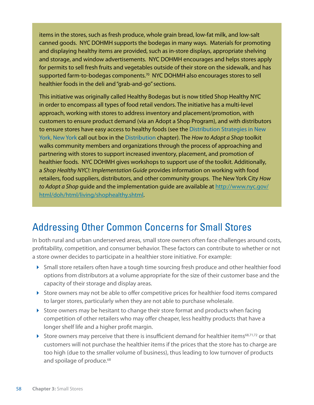items in the stores, such as fresh produce, whole grain bread, low-fat milk, and low-salt canned goods. NYC DOHMH supports the bodegas in many ways. Materials for promoting and displaying healthy items are provided, such as in-store displays, appropriate shelving and storage, and window advertisements. NYC DOHMH encourages and helps stores apply for permits to sell fresh fruits and vegetables outside of their store on the sidewalk, and has supported farm-to-bodegas components.<sup>70</sup> NYC DOHMH also encourages stores to sell healthier foods in the deli and "grab-and-go" sections.

This initiative was originally called Healthy Bodegas but is now titled Shop Healthy NYC in order to encompass all types of food retail vendors. The initiative has a multi-level approach, working with stores to address inventory and placement/promotion, with customers to ensure product demand (via an Adopt a Shop Program), and with distributors to ensure stores have easy access to healthy foods (see the Distribution Strategies in New York, New York call out box in the Distribution chapter). The *How to Adopt a Shop* toolkit walks community members and organizations through the process of approaching and partnering with stores to support increased inventory, placement, and promotion of healthier foods. NYC DOHMH gives workshops to support use of the toolkit. Additionally, a *Shop Healthy NYC!: Implementation Guide* provides information on working with food retailers, food suppliers, distributors, and other community groups. The New York City *How to Adopt a Shop* guide and the implementation guide are available at [http://www.nyc.gov/](http://www.nyc.gov/html/doh/html/living/shophealthy.shtml) [html/doh/html/living/shophealthy.shtml.](http://www.nyc.gov/html/doh/html/living/shophealthy.shtml)

## Addressing Other Common Concerns for Small Stores

In both rural and urban underserved areas, small store owners often face challenges around costs, profitability, competition, and consumer behavior. These factors can contribute to whether or not a store owner decides to participate in a healthier store initiative. For example:

- Small store retailers often have a tough time sourcing fresh produce and other healthier food options from distributors at a volume appropriate for the size of their customer base and the capacity of their storage and display areas.
- Store owners may not be able to offer competitive prices for healthier food items compared to larger stores, particularly when they are not able to purchase wholesale.
- $\triangleright$  Store owners may be hesitant to change their store format and products when facing competition of other retailers who may offer cheaper, less healthy products that have a longer shelf life and a higher profit margin.
- Store owners may perceive that there is insufficient demand for healthier items<sup>68,71,72</sup> or that customers will not purchase the healthier items if the prices that the store has to charge are too high (due to the smaller volume of business), thus leading to low turnover of products and spoilage of produce.<sup>68</sup>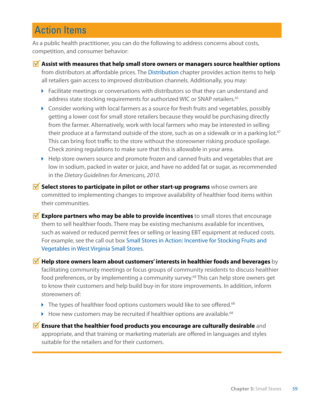## **Action Items**

As a public health practitioner, you can do the following to address concerns about costs, competition, and consumer behavior:

- **Assist with measures that help small store owners or managers source healthier options** from distributors at affordable prices. The Distribution chapter provides action items to help all retailers gain access to improved distribution channels. Additionally, you may:
	- Facilitate meetings or conversations with distributors so that they can understand and address state stocking requirements for authorized WIC or SNAP retailers.<sup>65</sup>
	- Consider working with local farmers as a source for fresh fruits and vegetables, possibly getting a lower cost for small store retailers because they would be purchasing directly from the farmer. Alternatively, work with local farmers who may be interested in selling their produce at a farmstand outside of the store, such as on a sidewalk or in a parking lot.<sup>67</sup> This can bring foot traffic to the store without the storeowner risking produce spoilage. Check zoning regulations to make sure that this is allowable in your area.
	- $\blacktriangleright$  Help store owners source and promote frozen and canned fruits and vegetables that are low in sodium, packed in water or juice, and have no added fat or sugar, as recommended in the *Dietary Guidelines for Americans, 2010*.
- **M** Select stores to participate in pilot or other start-up programs whose owners are committed to implementing changes to improve availability of healthier food items within their communities.
- **M** Explore partners who may be able to provide incentives to small stores that encourage them to sell healthier foods. There may be existing mechanisms available for incentives, such as waived or reduced permit fees or selling or leasing EBT equipment at reduced costs. For example, see the call out box Small Stores in Action: Incentive for Stocking Fruits and Vegetables in West Virginia Small Stores.

**M** Help store owners learn about customers' interests in healthier foods and beverages by facilitating community meetings or focus groups of community residents to discuss healthier food preferences, or by implementing a community survey.<sup>68</sup> This can help store owners get to know their customers and help build buy-in for store improvements. In addition, inform storeowners of:

- $\blacktriangleright$  The types of healthier food options customers would like to see offered.<sup>68</sup>
- $\blacktriangleright$  How new customers may be recruited if healthier options are available.<sup>68</sup>

**M** Ensure that the healthier food products you encourage are culturally desirable and appropriate, and that training or marketing materials are offered in languages and styles suitable for the retailers and for their customers.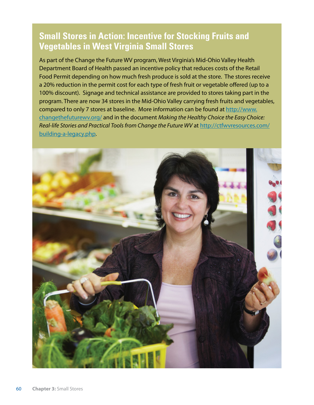### **Small Stores in Action: Incentive for Stocking Fruits and Vegetables in West Virginia Small Stores**

As part of the Change the Future WV program, West Virginia's Mid-Ohio Valley Health Department Board of Health passed an incentive policy that reduces costs of the Retail Food Permit depending on how much fresh produce is sold at the store. The stores receive a 20% reduction in the permit cost for each type of fresh fruit or vegetable offered (up to a 100% discount). Signage and technical assistance are provided to stores taking part in the program. There are now 34 stores in the Mid-Ohio Valley carrying fresh fruits and vegetables, compared to only 7 stores at baseline. More information can be found at [http://www.](http://www.changethefuturewv.org) [changethefuturewv.org/](http://www.changethefuturewv.org) and in the document *Making the Healthy Choice the Easy Choice: Real-life Stories and Practical Tools from Change the Future WV* at [http://ctfwvresources.com/](http://ctfwvresources.com/building-a-legacy.php) [building-a-legacy.php](http://ctfwvresources.com/building-a-legacy.php).

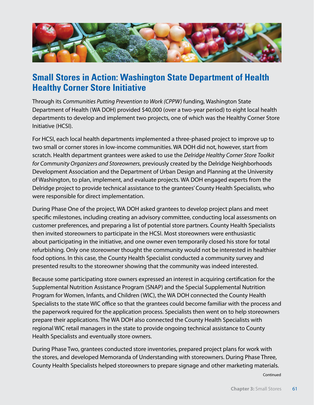

### **Small Stores in Action: Washington State Department of Health Healthy Corner Store Initiative**

Through its *Communities Putting Prevention to Work (CPPW)* funding, Washington State Department of Health (WA DOH) provided \$40,000 (over a two-year period) to eight local health departments to develop and implement two projects, one of which was the Healthy Corner Store Initiative (HCSI).

For HCSI, each local health departments implemented a three-phased project to improve up to two small or corner stores in low-income communities. WA DOH did not, however, start from scratch. Health department grantees were asked to use the *Delridge Healthy Corner Store Toolkit for Community Organizers and Storeowners*, previously created by the Delridge Neighborhoods Development Association and the Department of Urban Design and Planning at the University of Washington, to plan, implement, and evaluate projects. WA DOH engaged experts from the Delridge project to provide technical assistance to the grantees' County Health Specialists, who were responsible for direct implementation.

During Phase One of the project, WA DOH asked grantees to develop project plans and meet specific milestones, including creating an advisory committee, conducting local assessments on customer preferences, and preparing a list of potential store partners. County Health Specialists then invited storeowners to participate in the HCSI. Most storeowners were enthusiastic about participating in the initiative, and one owner even temporarily closed his store for total refurbishing. Only one storeowner thought the community would not be interested in healthier food options. In this case, the County Health Specialist conducted a community survey and presented results to the storeowner showing that the community was indeed interested.

Because some participating store owners expressed an interest in acquiring certification for the Supplemental Nutrition Assistance Program (SNAP) and the Special Supplemental Nutrition Program for Women, Infants, and Children (WIC), the WA DOH connected the County Health Specialists to the state WIC office so that the grantees could become familiar with the process and the paperwork required for the application process. Specialists then went on to help storeowners prepare their applications. The WA DOH also connected the County Health Specialists with regional WIC retail managers in the state to provide ongoing technical assistance to County Health Specialists and eventually store owners.

During Phase Two, grantees conducted store inventories, prepared project plans for work with the stores, and developed Memoranda of Understanding with storeowners. During Phase Three, County Health Specialists helped storeowners to prepare signage and other marketing materials.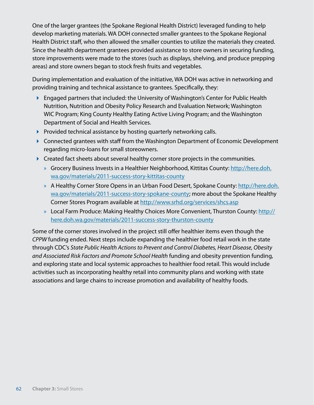One of the larger grantees (the Spokane Regional Health District) leveraged funding to help develop marketing materials. WA DOH connected smaller grantees to the Spokane Regional Health District staff, who then allowed the smaller counties to utilize the materials they created. Since the health department grantees provided assistance to store owners in securing funding, store improvements were made to the stores (such as displays, shelving, and produce prepping areas) and store owners began to stock fresh fruits and vegetables.

During implementation and evaluation of the initiative, WA DOH was active in networking and providing training and technical assistance to grantees. Specifically, they:

- ▶ Engaged partners that included: the University of Washington's Center for Public Health Nutrition, Nutrition and Obesity Policy Research and Evaluation Network; Washington WIC Program; King County Healthy Eating Active Living Program; and the Washington Department of Social and Health Services.
- $\blacktriangleright$  Provided technical assistance by hosting quarterly networking calls.
- ▶ Connected grantees with staff from the Washington Department of Economic Development regarding micro-loans for small storeowners.
- **Created fact sheets about several healthy corner store projects in the communities.** 
	- » Grocery Business Invests in a Healthier Neighborhood, Kittitas County: [http://here.doh.](http://here.doh.wa.gov/materials/2011) [wa.gov/materials/2011-](http://here.doh.wa.gov/materials/2011)success-story-kittitas-county
	- » A Healthy Corner Store Opens in an Urban Food Desert, Spokane County: [http://here.doh.](http://here.doh.wa.gov/materials/2011) [wa.gov/materials/2011-](http://here.doh.wa.gov/materials/2011)success-story-spokane-county; more about the Spokane Healthy Corner Stores Program available at <http://www.srhd.org/services/shcs.asp>
	- » Local Farm Produce: Making Healthy Choices More Convenient, Thurston County: [http://](http://here.doh.wa.gov/materials/2011) [here.doh.wa.gov/materials/2011](http://here.doh.wa.gov/materials/2011)-success-story-thurston-county

Some of the corner stores involved in the project still offer healthier items even though the *CPPW* funding ended. Next steps include expanding the healthier food retail work in the state through CDC's *State Public Health Actions to Prevent and Control Diabetes, Heart Disease, Obesity and Associated Risk Factors and Promote School Health* funding and obesity prevention funding, and exploring state and local systemic approaches to healthier food retail. This would include activities such as incorporating healthy retail into community plans and working with state associations and large chains to increase promotion and availability of healthy foods.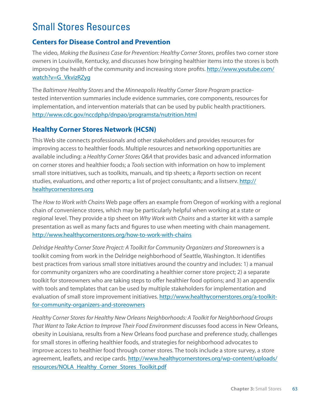## Small Stores Resources

#### **Centers for Disease Control and Prevention**

The video, *Making the Business Case for Prevention: Healthy Corner Stores*, profiles two corner store owners in Louisville, Kentucky, and discusses how bringing healthier items into the stores is both improving the health of the community and increasing store profits. [http://www.youtube.com/](http://www.youtube.com/watch?v=G_VkvizRZyg) [watch?v=G\\_VkvizRZyg](http://www.youtube.com/watch?v=G_VkvizRZyg)

The *Baltimore Healthy Stores* and the *Minneapolis Healthy Corner Store Program* practicetested intervention summaries include evidence summaries, core components, resources for implementation, and intervention materials that can be used by public health practitioners. <http://www.cdc.gov/nccdphp/dnpao/programsta/nutrition.html>

#### **Healthy Corner Stores Network (HCSN)**

This Web site connects professionals and other stakeholders and provides resources for improving access to healthier foods. Multiple resources and networking opportunities are available including: a *Healthy Corner Stores Q&A* that provides basic and advanced information on corner stores and healthier foods; a *Tools* section with information on how to implement small store initiatives, such as toolkits, manuals, and tip sheets; a *Reports* section on recent studies, evaluations, and other reports; a list of project consultants; and a listserv. [http://](http://healthycornerstores.org) [healthycornerstores.org](http://healthycornerstores.org)

The *How to Work with Chains* Web page offers an example from Oregon of working with a regional chain of convenience stores, which may be particularly helpful when working at a state or regional level. They provide a tip sheet on *Why Work with Chains* and a starter kit with a sample presentation as well as many facts and figures to use when meeting with chain management. <http://www.healthycornerstores.org/how>-to-work-with-chains

Delridge Healthy Corner Store Project: A Toolkit for Community Organizers and Storeowners is a toolkit coming from work in the Delridge neighborhood of Seattle, Washington. It identifies best practices from various small store initiatives around the country and includes: 1) a manual for community organizers who are coordinating a healthier corner store project; 2) a separate toolkit for storeowners who are taking steps to offer healthier food options; and 3) an appendix with tools and templates that can be used by multiple stakeholders for implementation and evaluation of small store improvement initiatives. [http://www.healthycornerstores.org/](http://www.healthycornerstores.org)a-toolkitfor-community-organizers-and-storeowners

*Healthy Corner Stores for Healthy New Orleans Neighborhoods: A Toolkit for Neighborhood Groups That Want to Take Action to Improve Their Food Environment* discusses food access in New Orleans, obesity in Louisiana, results from a New Orleans food purchase and preference study, challenges for small stores in offering healthier foods, and strategies for neighborhood advocates to improve access to healthier food through corner stores. The tools include a store survey, a store agreement, leaflets, and recipe cards. [http://www.healthycornerstores.org/wp-content/uploads/](http://www.healthycornerstores.org/wp-content/uploads/resources/NOLA_Healthy_Corner_Stores_Toolkit.pdf) [resources/NOLA\\_Healthy\\_Corner\\_Stores\\_Toolkit.pdf](http://www.healthycornerstores.org/wp-content/uploads/resources/NOLA_Healthy_Corner_Stores_Toolkit.pdf)